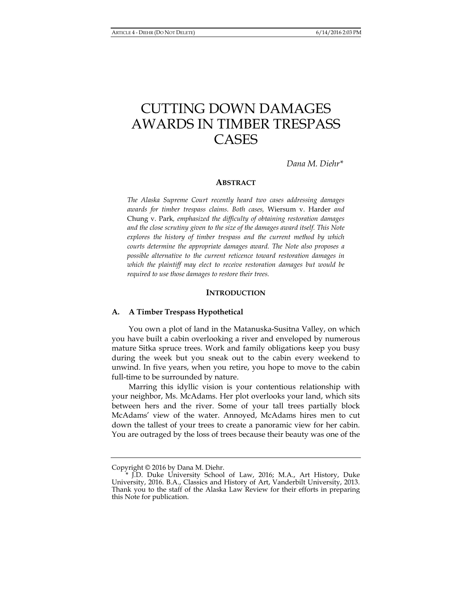# CUTTING DOWN DAMAGES AWARDS IN TIMBER TRESPASS CASES

*Dana M. Diehr\** 

## **ABSTRACT**

*The Alaska Supreme Court recently heard two cases addressing damages awards for timber trespass claims. Both cases,* Wiersum v. Harder *and*  Chung v. Park*, emphasized the difficulty of obtaining restoration damages and the close scrutiny given to the size of the damages award itself. This Note explores the history of timber trespass and the current method by which courts determine the appropriate damages award. The Note also proposes a possible alternative to the current reticence toward restoration damages in which the plaintiff may elect to receive restoration damages but would be required to use those damages to restore their trees.* 

#### **INTRODUCTION**

#### **A. A Timber Trespass Hypothetical**

You own a plot of land in the Matanuska-Susitna Valley, on which you have built a cabin overlooking a river and enveloped by numerous mature Sitka spruce trees. Work and family obligations keep you busy during the week but you sneak out to the cabin every weekend to unwind. In five years, when you retire, you hope to move to the cabin full-time to be surrounded by nature.

Marring this idyllic vision is your contentious relationship with your neighbor, Ms. McAdams. Her plot overlooks your land, which sits between hers and the river. Some of your tall trees partially block McAdams' view of the water. Annoyed, McAdams hires men to cut down the tallest of your trees to create a panoramic view for her cabin. You are outraged by the loss of trees because their beauty was one of the

Copyright © 2016 by Dana M. Diehr.

 <sup>\*</sup> J.D. Duke University School of Law, 2016; M.A., Art History, Duke University, 2016. B.A., Classics and History of Art, Vanderbilt University, 2013. Thank you to the staff of the Alaska Law Review for their efforts in preparing this Note for publication.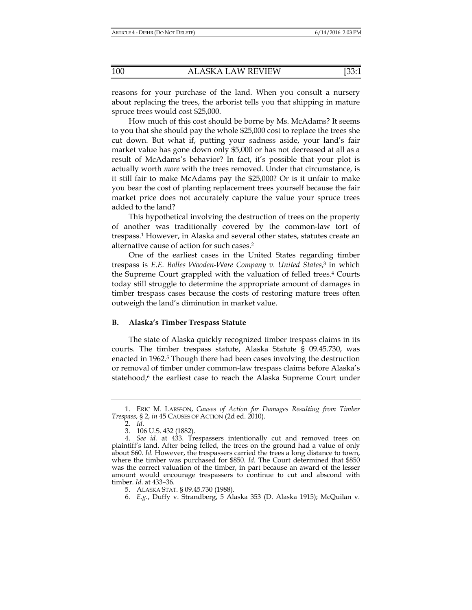reasons for your purchase of the land. When you consult a nursery about replacing the trees, the arborist tells you that shipping in mature spruce trees would cost \$25,000.

How much of this cost should be borne by Ms. McAdams? It seems to you that she should pay the whole \$25,000 cost to replace the trees she cut down. But what if, putting your sadness aside, your land's fair market value has gone down only \$5,000 or has not decreased at all as a result of McAdams's behavior? In fact, it's possible that your plot is actually worth *more* with the trees removed. Under that circumstance, is it still fair to make McAdams pay the \$25,000? Or is it unfair to make you bear the cost of planting replacement trees yourself because the fair market price does not accurately capture the value your spruce trees added to the land?

This hypothetical involving the destruction of trees on the property of another was traditionally covered by the common-law tort of trespass.1 However, in Alaska and several other states, statutes create an alternative cause of action for such cases.2

One of the earliest cases in the United States regarding timber trespass is *E.E. Bolles Wooden-Ware Company v. United States*, 3 in which the Supreme Court grappled with the valuation of felled trees.4 Courts today still struggle to determine the appropriate amount of damages in timber trespass cases because the costs of restoring mature trees often outweigh the land's diminution in market value.

## **B. Alaska's Timber Trespass Statute**

The state of Alaska quickly recognized timber trespass claims in its courts. The timber trespass statute, Alaska Statute § 09.45.730, was enacted in 1962.<sup>5</sup> Though there had been cases involving the destruction or removal of timber under common-law trespass claims before Alaska's statehood,<sup>6</sup> the earliest case to reach the Alaska Supreme Court under

 <sup>1.</sup> ERIC M. LARSSON, *Causes of Action for Damages Resulting from Timber Trespass*, § 2, *in* 45 CAUSES OF ACTION (2d ed. 2010).

 <sup>2.</sup> *Id*.

 <sup>3. 106</sup> U.S. 432 (1882).

 <sup>4.</sup> *See id.* at 433. Trespassers intentionally cut and removed trees on plaintiff's land. After being felled, the trees on the ground had a value of only about \$60. *Id.* However, the trespassers carried the trees a long distance to town, where the timber was purchased for \$850. *Id.* The Court determined that \$850 was the correct valuation of the timber, in part because an award of the lesser amount would encourage trespassers to continue to cut and abscond with timber. *Id*. at 433–36.

 <sup>5.</sup> ALASKA STAT. § 09.45.730 (1988).

 <sup>6.</sup> *E.g.*, Duffy v. Strandberg, 5 Alaska 353 (D. Alaska 1915); McQuilan v.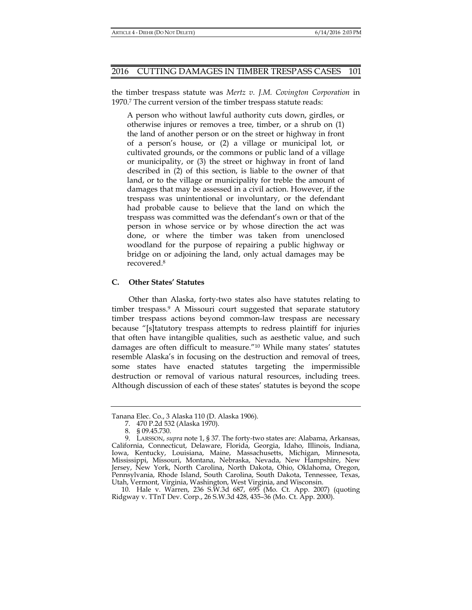the timber trespass statute was *Mertz v. J.M. Covington Corporation* in 1970.7 The current version of the timber trespass statute reads:

A person who without lawful authority cuts down, girdles, or otherwise injures or removes a tree, timber, or a shrub on (1) the land of another person or on the street or highway in front of a person's house, or (2) a village or municipal lot, or cultivated grounds, or the commons or public land of a village or municipality, or (3) the street or highway in front of land described in (2) of this section, is liable to the owner of that land, or to the village or municipality for treble the amount of damages that may be assessed in a civil action. However, if the trespass was unintentional or involuntary, or the defendant had probable cause to believe that the land on which the trespass was committed was the defendant's own or that of the person in whose service or by whose direction the act was done, or where the timber was taken from unenclosed woodland for the purpose of repairing a public highway or bridge on or adjoining the land, only actual damages may be recovered.8

## **C. Other States' Statutes**

Other than Alaska, forty-two states also have statutes relating to timber trespass.9 A Missouri court suggested that separate statutory timber trespass actions beyond common-law trespass are necessary because "[s]tatutory trespass attempts to redress plaintiff for injuries that often have intangible qualities, such as aesthetic value, and such damages are often difficult to measure."10 While many states' statutes resemble Alaska's in focusing on the destruction and removal of trees, some states have enacted statutes targeting the impermissible destruction or removal of various natural resources, including trees. Although discussion of each of these states' statutes is beyond the scope

Tanana Elec. Co., 3 Alaska 110 (D. Alaska 1906).

 <sup>7. 470</sup> P.2d 532 (Alaska 1970).

 <sup>8. § 09.45.730.</sup> 

 <sup>9.</sup> LARSSON, *supra* note 1, § 37. The forty-two states are: Alabama, Arkansas, California, Connecticut, Delaware, Florida, Georgia, Idaho, Illinois, Indiana, Iowa, Kentucky, Louisiana, Maine, Massachusetts, Michigan, Minnesota, Mississippi, Missouri, Montana, Nebraska, Nevada, New Hampshire, New Jersey, New York, North Carolina, North Dakota, Ohio, Oklahoma, Oregon, Pennsylvania, Rhode Island, South Carolina, South Dakota, Tennessee, Texas, Utah, Vermont, Virginia, Washington, West Virginia, and Wisconsin.

 <sup>10.</sup> Hale v. Warren, 236 S.W.3d 687, 695 (Mo. Ct. App. 2007) (quoting Ridgway v. TTnT Dev. Corp., 26 S.W.3d 428, 435–36 (Mo. Ct. App. 2000).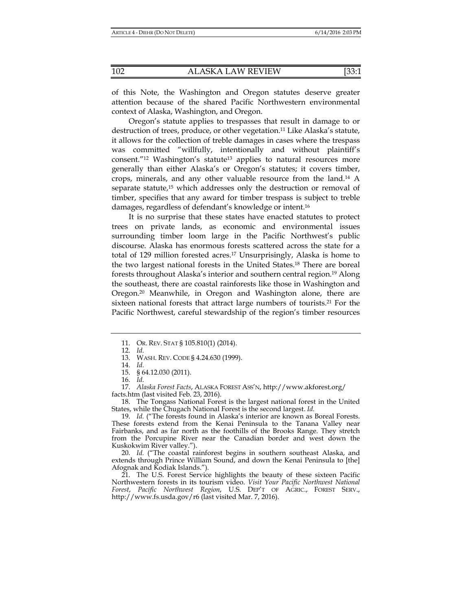of this Note, the Washington and Oregon statutes deserve greater attention because of the shared Pacific Northwestern environmental context of Alaska, Washington, and Oregon.

Oregon's statute applies to trespasses that result in damage to or destruction of trees, produce, or other vegetation.11 Like Alaska's statute, it allows for the collection of treble damages in cases where the trespass was committed "willfully, intentionally and without plaintiff's consent."<sup>12</sup> Washington's statute<sup>13</sup> applies to natural resources more generally than either Alaska's or Oregon's statutes; it covers timber, crops, minerals, and any other valuable resource from the land.14 A separate statute,<sup>15</sup> which addresses only the destruction or removal of timber, specifies that any award for timber trespass is subject to treble damages, regardless of defendant's knowledge or intent.16

It is no surprise that these states have enacted statutes to protect trees on private lands, as economic and environmental issues surrounding timber loom large in the Pacific Northwest's public discourse. Alaska has enormous forests scattered across the state for a total of 129 million forested acres.17 Unsurprisingly, Alaska is home to the two largest national forests in the United States.18 There are boreal forests throughout Alaska's interior and southern central region.19 Along the southeast, there are coastal rainforests like those in Washington and Oregon.20 Meanwhile, in Oregon and Washington alone, there are sixteen national forests that attract large numbers of tourists.<sup>21</sup> For the Pacific Northwest, careful stewardship of the region's timber resources

16. *Id.*

facts.htm (last visited Feb. 23, 2016).

 18. The Tongass National Forest is the largest national forest in the United States, while the Chugach National Forest is the second largest. *Id.*

 20. *Id.* ("The coastal rainforest begins in southern southeast Alaska, and extends through Prince William Sound, and down the Kenai Peninsula to [the] Afognak and Kodiak Islands.").

 21. The U.S. Forest Service highlights the beauty of these sixteen Pacific Northwestern forests in its tourism video. *Visit Your Pacific Northwest National Forest*, *Pacific Northwest Region*, U.S. DEP'T OF AGRIC., FOREST SERV., http://www.fs.usda.gov/r6 (last visited Mar. 7, 2016).

 <sup>11.</sup> OR. REV. STAT § 105.810(1) (2014).

 <sup>12.</sup> *Id.*

 <sup>13.</sup> WASH. REV. CODE § 4.24.630 (1999).

 <sup>14.</sup> *Id.*

 <sup>15. § 64.12.030 (2011).</sup> 

 <sup>17.</sup> *Alaska Forest Facts*, ALASKA FOREST ASS'N, http://www.akforest.org/

<sup>19.</sup> *Id.* ("The forests found in Alaska's interior are known as Boreal Forests. These forests extend from the Kenai Peninsula to the Tanana Valley near Fairbanks, and as far north as the foothills of the Brooks Range. They stretch from the Porcupine River near the Canadian border and west down the Kuskokwim River valley.").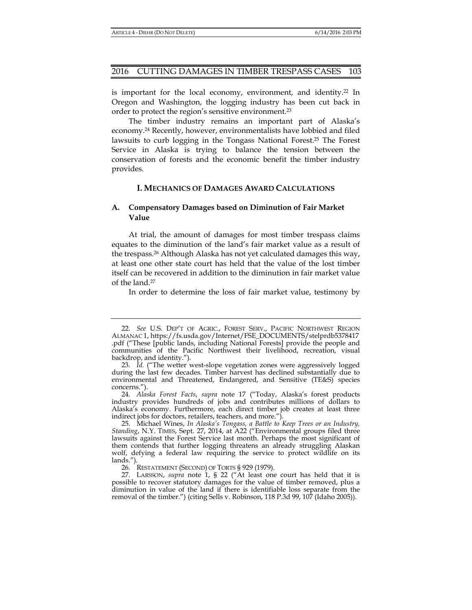is important for the local economy, environment, and identity.<sup>22</sup> In Oregon and Washington, the logging industry has been cut back in order to protect the region's sensitive environment.23

The timber industry remains an important part of Alaska's economy.24 Recently, however, environmentalists have lobbied and filed lawsuits to curb logging in the Tongass National Forest.25 The Forest Service in Alaska is trying to balance the tension between the conservation of forests and the economic benefit the timber industry provides.

## **I. MECHANICS OF DAMAGES AWARD CALCULATIONS**

## **A. Compensatory Damages based on Diminution of Fair Market Value**

At trial, the amount of damages for most timber trespass claims equates to the diminution of the land's fair market value as a result of the trespass.26 Although Alaska has not yet calculated damages this way, at least one other state court has held that the value of the lost timber itself can be recovered in addition to the diminution in fair market value of the land.27

In order to determine the loss of fair market value, testimony by

26. RESTATEMENT (SECOND) OF TORTS § 929 (1979).

 <sup>22.</sup> *See* U.S. DEP'T OF AGRIC., FOREST SERV., PACIFIC NORTHWEST REGION ALMANAC 1, https://fs.usda.gov/Internet/FSE\_DOCUMENTS/stelprdb5378417 .pdf ("These [public lands, including National Forests] provide the people and communities of the Pacific Northwest their livelihood, recreation, visual backdrop, and identity.").

<sup>23.</sup> *Id.* ("The wetter west-slope vegetation zones were aggressively logged during the last few decades. Timber harvest has declined substantially due to environmental and Threatened, Endangered, and Sensitive (TE&S) species concerns.").

 <sup>24.</sup> *Alaska Forest Facts*, *supra* note 17 ("Today, Alaska's forest products industry provides hundreds of jobs and contributes millions of dollars to Alaska's economy. Furthermore, each direct timber job creates at least three indirect jobs for doctors, retailers, teachers, and more.").

 <sup>25.</sup> Michael Wines, *In Alaska's Tongass, a Battle to Keep Trees or an Industry, Standing*, N.Y. TIMES, Sept. 27, 2014, at A22 ("Environmental groups filed three lawsuits against the Forest Service last month. Perhaps the most significant of them contends that further logging threatens an already struggling Alaskan wolf, defying a federal law requiring the service to protect wildlife on its lands.").

 <sup>27.</sup> LARSSON, *supra* note 1, § 22 ("At least one court has held that it is possible to recover statutory damages for the value of timber removed, plus a diminution in value of the land if there is identifiable loss separate from the removal of the timber.") (citing Sells v. Robinson, 118 P.3d 99, 107 (Idaho 2005)).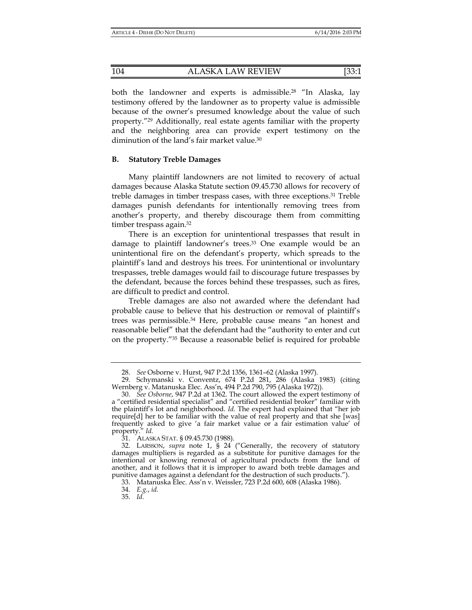both the landowner and experts is admissible.28 "In Alaska, lay testimony offered by the landowner as to property value is admissible because of the owner's presumed knowledge about the value of such property."29 Additionally, real estate agents familiar with the property and the neighboring area can provide expert testimony on the diminution of the land's fair market value.<sup>30</sup>

## **B. Statutory Treble Damages**

Many plaintiff landowners are not limited to recovery of actual damages because Alaska Statute section 09.45.730 allows for recovery of treble damages in timber trespass cases, with three exceptions.31 Treble damages punish defendants for intentionally removing trees from another's property, and thereby discourage them from committing timber trespass again.<sup>32</sup>

There is an exception for unintentional trespasses that result in damage to plaintiff landowner's trees.33 One example would be an unintentional fire on the defendant's property, which spreads to the plaintiff's land and destroys his trees. For unintentional or involuntary trespasses, treble damages would fail to discourage future trespasses by the defendant, because the forces behind these trespasses, such as fires, are difficult to predict and control.

Treble damages are also not awarded where the defendant had probable cause to believe that his destruction or removal of plaintiff's trees was permissible.34 Here, probable cause means "an honest and reasonable belief" that the defendant had the "authority to enter and cut on the property."35 Because a reasonable belief is required for probable

 <sup>28.</sup> *See* Osborne v. Hurst, 947 P.2d 1356, 1361–62 (Alaska 1997).

 <sup>29.</sup> Schymanski v. Conventz, 674 P.2d 281, 286 (Alaska 1983) (citing Wernberg v. Matanuska Elec. Ass'n, 494 P.2d 790, 795 (Alaska 1972)).

 <sup>30.</sup> *See Osborne*, 947 P.2d at 1362. The court allowed the expert testimony of a "certified residential specialist" and "certified residential broker" familiar with the plaintiff's lot and neighborhood. *Id.* The expert had explained that "her job require[d] her to be familiar with the value of real property and that she [was] frequently asked to give 'a fair market value or a fair estimation value' of property." *Id.*

 <sup>31.</sup> ALASKA STAT. § 09.45.730 (1988).

 <sup>32.</sup> LARSSON, *supra* note 1, § 24 ("Generally, the recovery of statutory damages multipliers is regarded as a substitute for punitive damages for the intentional or knowing removal of agricultural products from the land of another, and it follows that it is improper to award both treble damages and punitive damages against a defendant for the destruction of such products.").

 <sup>33.</sup> Matanuska Elec. Ass'n v. Weissler, 723 P.2d 600, 608 (Alaska 1986).

 <sup>34.</sup> *E.g.*, *id.*

 <sup>35.</sup> *Id.*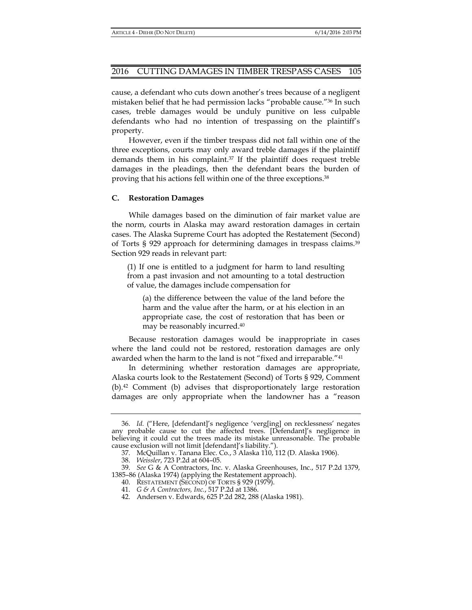cause, a defendant who cuts down another's trees because of a negligent mistaken belief that he had permission lacks "probable cause."36 In such cases, treble damages would be unduly punitive on less culpable defendants who had no intention of trespassing on the plaintiff's property.

However, even if the timber trespass did not fall within one of the three exceptions, courts may only award treble damages if the plaintiff demands them in his complaint.<sup>37</sup> If the plaintiff does request treble damages in the pleadings, then the defendant bears the burden of proving that his actions fell within one of the three exceptions.38

## **C. Restoration Damages**

While damages based on the diminution of fair market value are the norm, courts in Alaska may award restoration damages in certain cases. The Alaska Supreme Court has adopted the Restatement (Second) of Torts § 929 approach for determining damages in trespass claims.39 Section 929 reads in relevant part:

(1) If one is entitled to a judgment for harm to land resulting from a past invasion and not amounting to a total destruction of value, the damages include compensation for

(a) the difference between the value of the land before the harm and the value after the harm, or at his election in an appropriate case, the cost of restoration that has been or may be reasonably incurred.40

Because restoration damages would be inappropriate in cases where the land could not be restored, restoration damages are only awarded when the harm to the land is not "fixed and irreparable."41

In determining whether restoration damages are appropriate, Alaska courts look to the Restatement (Second) of Torts § 929, Comment (b).42 Comment (b) advises that disproportionately large restoration damages are only appropriate when the landowner has a "reason

 <sup>36.</sup> *Id.* ("Here, [defendant]'s negligence 'verg[ing] on recklessness' negates any probable cause to cut the affected trees. [Defendant]'s negligence in believing it could cut the trees made its mistake unreasonable. The probable cause exclusion will not limit [defendant]'s liability.").

 <sup>37.</sup> McQuillan v. Tanana Elec. Co*.*, 3 Alaska 110, 112 (D. Alaska 1906).

 <sup>38.</sup> *Weissler*, 723 P.2d at 604–05.

 <sup>39.</sup> *See* G & A Contractors, Inc. v. Alaska Greenhouses, Inc., 517 P.2d 1379, 1385–86 (Alaska 1974) (applying the Restatement approach).

 <sup>40.</sup> RESTATEMENT (SECOND) OF TORTS § 929 (1979).

 <sup>41.</sup> *G & A Contractors, Inc.*, 517 P.2d at 1386.

 <sup>42.</sup> Andersen v. Edwards, 625 P.2d 282, 288 (Alaska 1981).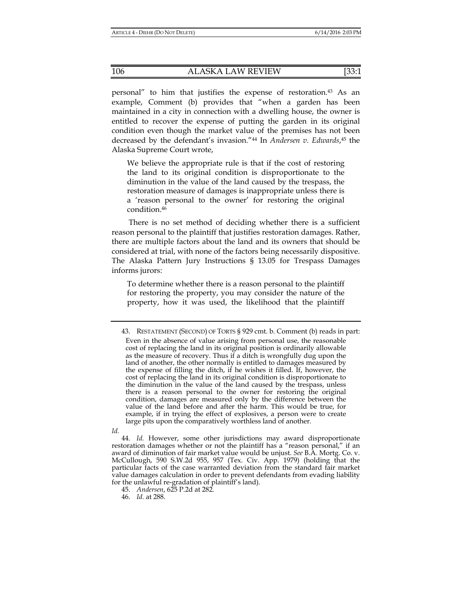personal" to him that justifies the expense of restoration.43 As an example, Comment (b) provides that "when a garden has been maintained in a city in connection with a dwelling house, the owner is entitled to recover the expense of putting the garden in its original condition even though the market value of the premises has not been decreased by the defendant's invasion."44 In *Andersen v. Edwards*, 45 the Alaska Supreme Court wrote,

We believe the appropriate rule is that if the cost of restoring the land to its original condition is disproportionate to the diminution in the value of the land caused by the trespass, the restoration measure of damages is inappropriate unless there is a 'reason personal to the owner' for restoring the original condition.46

There is no set method of deciding whether there is a sufficient reason personal to the plaintiff that justifies restoration damages. Rather, there are multiple factors about the land and its owners that should be considered at trial, with none of the factors being necessarily dispositive. The Alaska Pattern Jury Instructions § 13.05 for Trespass Damages informs jurors:

To determine whether there is a reason personal to the plaintiff for restoring the property, you may consider the nature of the property, how it was used, the likelihood that the plaintiff

*Id.* 

45. *Andersen*, 625 P.2d at 282.

46. *Id.* at 288.

 <sup>43.</sup> RESTATEMENT (SECOND) OF TORTS § 929 cmt. b. Comment (b) reads in part: Even in the absence of value arising from personal use, the reasonable cost of replacing the land in its original position is ordinarily allowable as the measure of recovery. Thus if a ditch is wrongfully dug upon the land of another, the other normally is entitled to damages measured by the expense of filling the ditch, if he wishes it filled. If, however, the cost of replacing the land in its original condition is disproportionate to the diminution in the value of the land caused by the trespass, unless there is a reason personal to the owner for restoring the original condition, damages are measured only by the difference between the value of the land before and after the harm. This would be true, for example, if in trying the effect of explosives, a person were to create large pits upon the comparatively worthless land of another.

 <sup>44.</sup> *Id.* However, some other jurisdictions may award disproportionate restoration damages whether or not the plaintiff has a "reason personal," if an award of diminution of fair market value would be unjust. *See* B.A. Mortg. Co. v. McCullough, 590 S.W.2d 955, 957 (Tex. Civ. App. 1979) (holding that the particular facts of the case warranted deviation from the standard fair market value damages calculation in order to prevent defendants from evading liability for the unlawful re-gradation of plaintiff's land).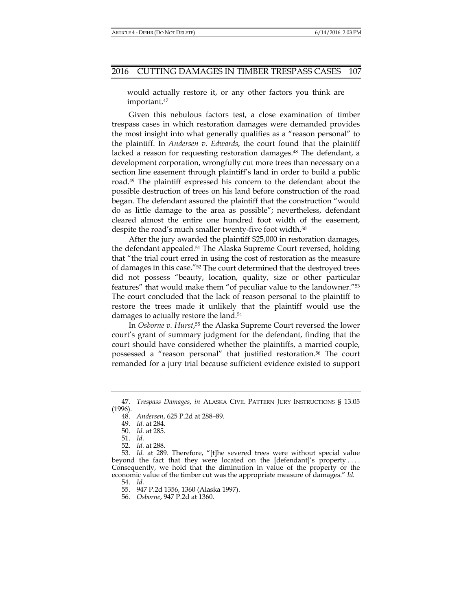would actually restore it, or any other factors you think are important.47

Given this nebulous factors test, a close examination of timber trespass cases in which restoration damages were demanded provides the most insight into what generally qualifies as a "reason personal" to the plaintiff. In *Andersen v. Edwards*, the court found that the plaintiff lacked a reason for requesting restoration damages.<sup>48</sup> The defendant, a development corporation, wrongfully cut more trees than necessary on a section line easement through plaintiff's land in order to build a public road.49 The plaintiff expressed his concern to the defendant about the possible destruction of trees on his land before construction of the road began. The defendant assured the plaintiff that the construction "would do as little damage to the area as possible"; nevertheless, defendant cleared almost the entire one hundred foot width of the easement, despite the road's much smaller twenty-five foot width.<sup>50</sup>

After the jury awarded the plaintiff \$25,000 in restoration damages, the defendant appealed.51 The Alaska Supreme Court reversed, holding that "the trial court erred in using the cost of restoration as the measure of damages in this case."52 The court determined that the destroyed trees did not possess "beauty, location, quality, size or other particular features" that would make them "of peculiar value to the landowner."53 The court concluded that the lack of reason personal to the plaintiff to restore the trees made it unlikely that the plaintiff would use the damages to actually restore the land.<sup>54</sup>

In *Osborne v. Hurst*, 55 the Alaska Supreme Court reversed the lower court's grant of summary judgment for the defendant, finding that the court should have considered whether the plaintiffs, a married couple, possessed a "reason personal" that justified restoration.56 The court remanded for a jury trial because sufficient evidence existed to support

52. *Id.* at 288.

 <sup>47.</sup> *Trespass Damages*, *in* ALASKA CIVIL PATTERN JURY INSTRUCTIONS § 13.05 (1996).

 <sup>48.</sup> *Andersen*, 625 P.2d at 288–89.

 <sup>49.</sup> *Id.* at 284.

 <sup>50.</sup> *Id.* at 285.

 <sup>51.</sup> *Id.*

 <sup>53.</sup> *Id.* at 289. Therefore, "[t]he severed trees were without special value beyond the fact that they were located on the [defendant]'s property .... Consequently, we hold that the diminution in value of the property or the economic value of the timber cut was the appropriate measure of damages." *Id.*

 <sup>54.</sup> *Id.*

 <sup>55. 947</sup> P.2d 1356, 1360 (Alaska 1997).

 <sup>56.</sup> *Osborne*, 947 P.2d at 1360.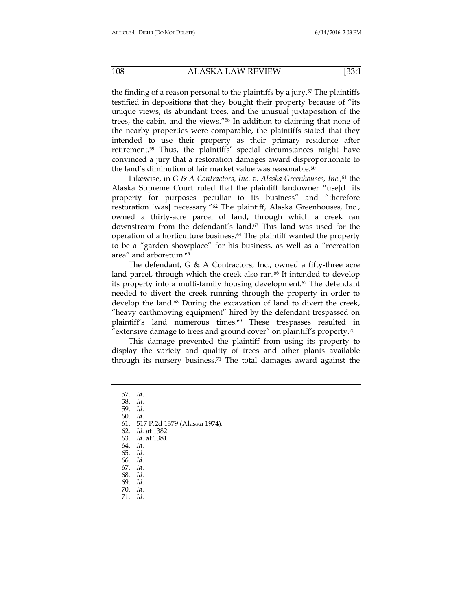the finding of a reason personal to the plaintiffs by a jury.57 The plaintiffs testified in depositions that they bought their property because of "its unique views, its abundant trees, and the unusual juxtaposition of the trees, the cabin, and the views."58 In addition to claiming that none of the nearby properties were comparable, the plaintiffs stated that they intended to use their property as their primary residence after retirement.59 Thus, the plaintiffs' special circumstances might have convinced a jury that a restoration damages award disproportionate to the land's diminution of fair market value was reasonable.<sup>60</sup>

Likewise, in *G & A Contractors, Inc. v. Alaska Greenhouses, Inc.*,<sup>61</sup> the Alaska Supreme Court ruled that the plaintiff landowner "use[d] its property for purposes peculiar to its business" and "therefore restoration [was] necessary."62 The plaintiff, Alaska Greenhouses, Inc., owned a thirty-acre parcel of land, through which a creek ran downstream from the defendant's land.<sup>63</sup> This land was used for the operation of a horticulture business.64 The plaintiff wanted the property to be a "garden showplace" for his business, as well as a "recreation area" and arboretum.65

The defendant, G & A Contractors, Inc., owned a fifty-three acre land parcel, through which the creek also ran.<sup>66</sup> It intended to develop its property into a multi-family housing development.<sup>67</sup> The defendant needed to divert the creek running through the property in order to develop the land.68 During the excavation of land to divert the creek, "heavy earthmoving equipment" hired by the defendant trespassed on plaintiff's land numerous times.<sup>69</sup> These trespasses resulted in "extensive damage to trees and ground cover" on plaintiff's property.<sup>70</sup>

This damage prevented the plaintiff from using its property to display the variety and quality of trees and other plants available through its nursery business.<sup>71</sup> The total damages award against the

- 61. 517 P.2d 1379 (Alaska 1974)*.*
- 62. *Id.* at 1382.

- 64. *Id.*
- 65. *Id.*
- 66. *Id.*
- 67. *Id.*
- 68. *Id.* 69. *Id.*
- 70. *Id.*
- 71. *Id.*

 <sup>57.</sup> *Id*.

 <sup>58.</sup> *Id.*

 <sup>59.</sup> *Id.*

 <sup>60.</sup> *Id.*

 <sup>63.</sup> *Id.* at 1381.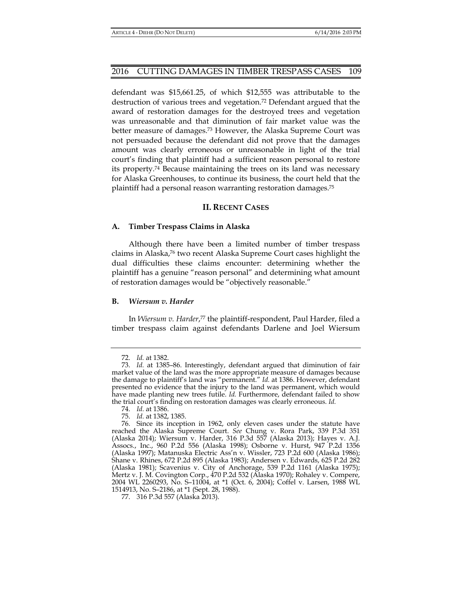defendant was \$15,661.25, of which \$12,555 was attributable to the destruction of various trees and vegetation.72 Defendant argued that the award of restoration damages for the destroyed trees and vegetation was unreasonable and that diminution of fair market value was the better measure of damages.73 However, the Alaska Supreme Court was not persuaded because the defendant did not prove that the damages amount was clearly erroneous or unreasonable in light of the trial court's finding that plaintiff had a sufficient reason personal to restore its property.74 Because maintaining the trees on its land was necessary for Alaska Greenhouses, to continue its business, the court held that the plaintiff had a personal reason warranting restoration damages.75

## **II. RECENT CASES**

#### **A. Timber Trespass Claims in Alaska**

Although there have been a limited number of timber trespass claims in Alaska,76 two recent Alaska Supreme Court cases highlight the dual difficulties these claims encounter: determining whether the plaintiff has a genuine "reason personal" and determining what amount of restoration damages would be "objectively reasonable."

#### **B.** *Wiersum v. Harder*

In *Wiersum v. Harder*, 77 the plaintiff-respondent, Paul Harder, filed a timber trespass claim against defendants Darlene and Joel Wiersum

 <sup>72.</sup> *Id.* at 1382.

 <sup>73.</sup> *Id.* at 1385–86. Interestingly, defendant argued that diminution of fair market value of the land was the more appropriate measure of damages because the damage to plaintiff's land was "permanent." *Id.* at 1386. However, defendant presented no evidence that the injury to the land was permanent, which would have made planting new trees futile. *Id.* Furthermore, defendant failed to show the trial court's finding on restoration damages was clearly erroneous. *Id.*

 <sup>74.</sup> *Id.* at 1386.

 <sup>75.</sup> *Id.* at 1382, 1385.

 <sup>76.</sup> Since its inception in 1962, only eleven cases under the statute have reached the Alaska Supreme Court. *See* Chung v. Rora Park, 339 P.3d 351 (Alaska 2014); Wiersum v. Harder, 316 P.3d 557 (Alaska 2013); Hayes v. A.J. Assocs., Inc., 960 P.2d 556 (Alaska 1998); Osborne v. Hurst, 947 P.2d 1356 (Alaska 1997); Matanuska Electric Ass'n v. Wissler, 723 P.2d 600 (Alaska 1986); Shane v. Rhines, 672 P.2d 895 (Alaska 1983); Andersen v. Edwards, 625 P.2d 282 (Alaska 1981); Scavenius v. City of Anchorage, 539 P.2d 1161 (Alaska 1975); Mertz v. J. M. Covington Corp., 470 P.2d 532 (Alaska 1970); Rohaley v. Compere, 2004 WL 2260293, No. S–11004, at \*1 (Oct. 6, 2004); Coffel v. Larsen, 1988 WL 1514913, No. S–2186, at \*1 (Sept. 28, 1988).

 <sup>77. 316</sup> P.3d 557 (Alaska 2013).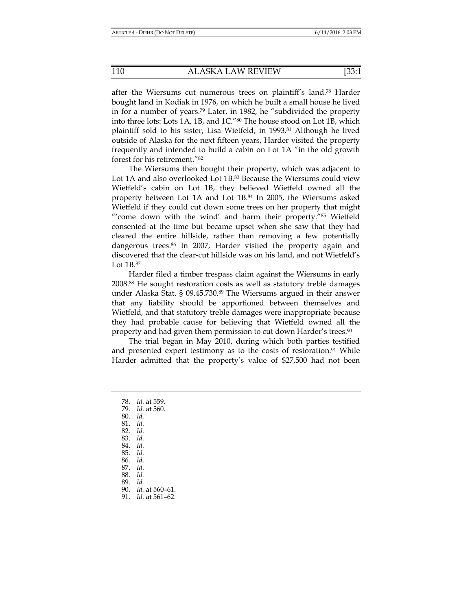after the Wiersums cut numerous trees on plaintiff's land.78 Harder bought land in Kodiak in 1976, on which he built a small house he lived in for a number of years.79 Later, in 1982, he "subdivided the property into three lots: Lots 1A, 1B, and 1C."80 The house stood on Lot 1B, which plaintiff sold to his sister, Lisa Wietfeld, in 1993.81 Although he lived outside of Alaska for the next fifteen years, Harder visited the property frequently and intended to build a cabin on Lot 1A "in the old growth forest for his retirement."82

The Wiersums then bought their property, which was adjacent to Lot 1A and also overlooked Lot 1B.<sup>83</sup> Because the Wiersums could view Wietfeld's cabin on Lot 1B, they believed Wietfeld owned all the property between Lot 1A and Lot 1B.84 In 2005, the Wiersums asked Wietfeld if they could cut down some trees on her property that might "'come down with the wind' and harm their property."<sup>85</sup> Wietfeld consented at the time but became upset when she saw that they had cleared the entire hillside, rather than removing a few potentially dangerous trees.86 In 2007, Harder visited the property again and discovered that the clear-cut hillside was on his land, and not Wietfeld's Lot 1B.87

Harder filed a timber trespass claim against the Wiersums in early 2008.88 He sought restoration costs as well as statutory treble damages under Alaska Stat. § 09.45.730.89 The Wiersums argued in their answer that any liability should be apportioned between themselves and Wietfeld, and that statutory treble damages were inappropriate because they had probable cause for believing that Wietfeld owned all the property and had given them permission to cut down Harder's trees.90

The trial began in May 2010, during which both parties testified and presented expert testimony as to the costs of restoration.<sup>91</sup> While Harder admitted that the property's value of \$27,500 had not been

 78. *Id.* at 559. 79. *Id.* at 560. 80. *Id.* 81. *Id.* 82. *Id.* 83. *Id.* 84. *Id.* 85. *Id.* 86. *Id.* 87. *Id.* 88. *Id.*  89. *Id.* 90. *Id.* at 560–61. 91. *Id.* at 561–62.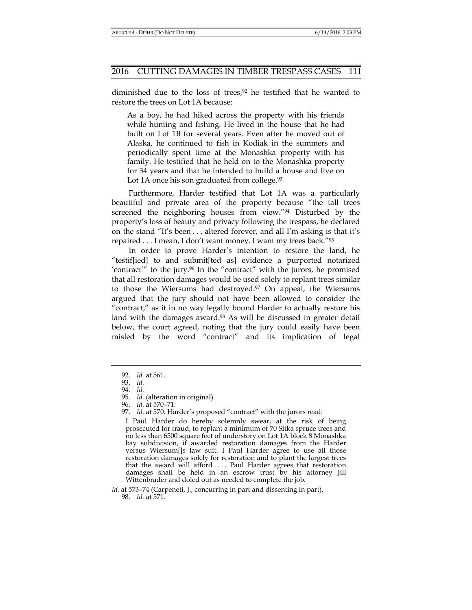diminished due to the loss of trees, $92$  he testified that he wanted to restore the trees on Lot 1A because:

As a boy, he had hiked across the property with his friends while hunting and fishing. He lived in the house that he had built on Lot 1B for several years. Even after he moved out of Alaska, he continued to fish in Kodiak in the summers and periodically spent time at the Monashka property with his family. He testified that he held on to the Monashka property for 34 years and that he intended to build a house and live on Lot 1A once his son graduated from college.<sup>93</sup>

Furthermore, Harder testified that Lot 1A was a particularly beautiful and private area of the property because "the tall trees screened the neighboring houses from view."94 Disturbed by the property's loss of beauty and privacy following the trespass, he declared on the stand "It's been . . . altered forever, and all I'm asking is that it's repaired . . . I mean, I don't want money. I want my trees back."95

In order to prove Harder's intention to restore the land, he "testif[ied] to and submit[ted as] evidence a purported notarized 'contract'" to the jury.<sup>96</sup> In the "contract" with the jurors, he promised that all restoration damages would be used solely to replant trees similar to those the Wiersums had destroyed.<sup>97</sup> On appeal, the Wiersums argued that the jury should not have been allowed to consider the "contract," as it in no way legally bound Harder to actually restore his land with the damages award.<sup>98</sup> As will be discussed in greater detail below, the court agreed, noting that the jury could easily have been misled by the word "contract" and its implication of legal

 <sup>92.</sup> *Id.* at 561.

 <sup>93.</sup> *Id.*

 <sup>94.</sup> *Id.*

 <sup>95.</sup> *Id.* (alteration in original).

 <sup>96.</sup> *Id.* at 570–71.

 <sup>97.</sup> *Id.* at 570. Harder's proposed "contract" with the jurors read:

I Paul Harder do hereby solemnly swear, at the risk of being prosecuted for fraud, to replant a minimum of 70 Sitka spruce trees and no less than 6500 square feet of understory on Lot 1A block 8 Monashka bay subdivision, if awarded restoration damages from the Harder versus Wiersum[]s law suit. I Paul Harder agree to use all those restoration damages solely for restoration and to plant the largest trees that the award will afford . . . . Paul Harder agrees that restoration damages shall be held in an escrow trust by his attorney Jill Wittenbrader and doled out as needed to complete the job.

*Id.* at 573–74 (Carpeneti, J., concurring in part and dissenting in part). 98. *Id.* at 571.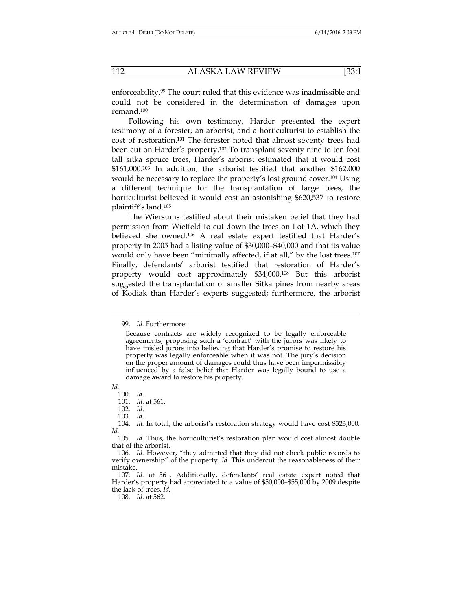enforceability.99 The court ruled that this evidence was inadmissible and could not be considered in the determination of damages upon remand.100

Following his own testimony, Harder presented the expert testimony of a forester, an arborist, and a horticulturist to establish the cost of restoration.101 The forester noted that almost seventy trees had been cut on Harder's property.102 To transplant seventy nine to ten foot tall sitka spruce trees, Harder's arborist estimated that it would cost \$161,000.103 In addition, the arborist testified that another \$162,000 would be necessary to replace the property's lost ground cover.<sup>104</sup> Using a different technique for the transplantation of large trees, the horticulturist believed it would cost an astonishing \$620,537 to restore plaintiff's land.105

The Wiersums testified about their mistaken belief that they had permission from Wietfeld to cut down the trees on Lot 1A, which they believed she owned.106 A real estate expert testified that Harder's property in 2005 had a listing value of \$30,000–\$40,000 and that its value would only have been "minimally affected, if at all," by the lost trees.<sup>107</sup> Finally, defendants' arborist testified that restoration of Harder's property would cost approximately \$34,000.108 But this arborist suggested the transplantation of smaller Sitka pines from nearby areas of Kodiak than Harder's experts suggested; furthermore, the arborist

*Id.*

103. *Id.*

108. *Id.* at 562.

<sup>99.</sup> *Id.* Furthermore:

Because contracts are widely recognized to be legally enforceable agreements, proposing such a 'contract' with the jurors was likely to have misled jurors into believing that Harder's promise to restore his property was legally enforceable when it was not. The jury's decision on the proper amount of damages could thus have been impermissibly influenced by a false belief that Harder was legally bound to use a damage award to restore his property.

 <sup>100.</sup> *Id.*

 <sup>101.</sup> *Id.* at 561. 102. *Id.*

 <sup>104.</sup> *Id.* In total, the arborist's restoration strategy would have cost \$323,000. *Id.*

 <sup>105.</sup> *Id.* Thus, the horticulturist's restoration plan would cost almost double that of the arborist.

 <sup>106.</sup> *Id.* However, "they admitted that they did not check public records to verify ownership" of the property. *Id.* This undercut the reasonableness of their mistake.

 <sup>107.</sup> *Id.* at 561. Additionally, defendants' real estate expert noted that Harder's property had appreciated to a value of \$50,000–\$55,000 by 2009 despite the lack of trees. *Id.*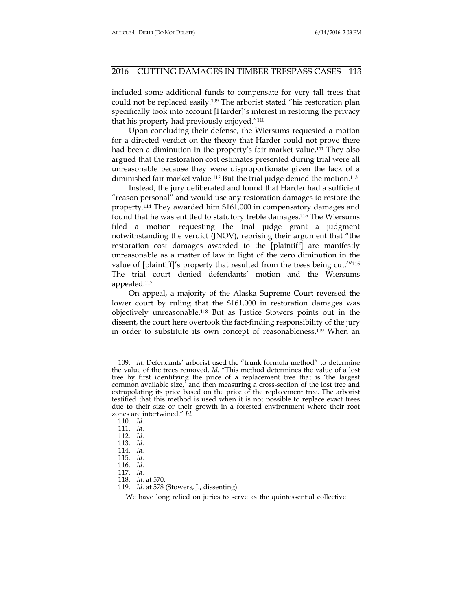included some additional funds to compensate for very tall trees that could not be replaced easily.109 The arborist stated "his restoration plan specifically took into account [Harder]'s interest in restoring the privacy that his property had previously enjoyed."110

Upon concluding their defense, the Wiersums requested a motion for a directed verdict on the theory that Harder could not prove there had been a diminution in the property's fair market value.<sup>111</sup> They also argued that the restoration cost estimates presented during trial were all unreasonable because they were disproportionate given the lack of a diminished fair market value.<sup>112</sup> But the trial judge denied the motion.<sup>113</sup>

Instead, the jury deliberated and found that Harder had a sufficient "reason personal" and would use any restoration damages to restore the property.114 They awarded him \$161,000 in compensatory damages and found that he was entitled to statutory treble damages.115 The Wiersums filed a motion requesting the trial judge grant a judgment notwithstanding the verdict (JNOV), reprising their argument that "the restoration cost damages awarded to the [plaintiff] are manifestly unreasonable as a matter of law in light of the zero diminution in the value of [plaintiff]'s property that resulted from the trees being cut.'"116 The trial court denied defendants' motion and the Wiersums appealed.117

On appeal, a majority of the Alaska Supreme Court reversed the lower court by ruling that the \$161,000 in restoration damages was objectively unreasonable.118 But as Justice Stowers points out in the dissent, the court here overtook the fact-finding responsibility of the jury in order to substitute its own concept of reasonableness.119 When an

We have long relied on juries to serve as the quintessential collective

 <sup>109.</sup> *Id.* Defendants' arborist used the "trunk formula method" to determine the value of the trees removed. *Id.* "This method determines the value of a lost tree by first identifying the price of a replacement tree that is 'the largest common available size,' and then measuring a cross-section of the lost tree and extrapolating its price based on the price of the replacement tree. The arborist testified that this method is used when it is not possible to replace exact trees due to their size or their growth in a forested environment where their root zones are intertwined." *Id.*

 <sup>110.</sup> *Id.*

 <sup>111.</sup> *Id.*

 <sup>112.</sup> *Id.*

 <sup>113.</sup> *Id.*

 <sup>114.</sup> *Id.* 

 <sup>115.</sup> *Id.*

 <sup>116.</sup> *Id.*

 <sup>117.</sup> *Id.*

 <sup>118.</sup> *Id.* at 570.

 <sup>119.</sup> *Id.* at 578 (Stowers, J., dissenting).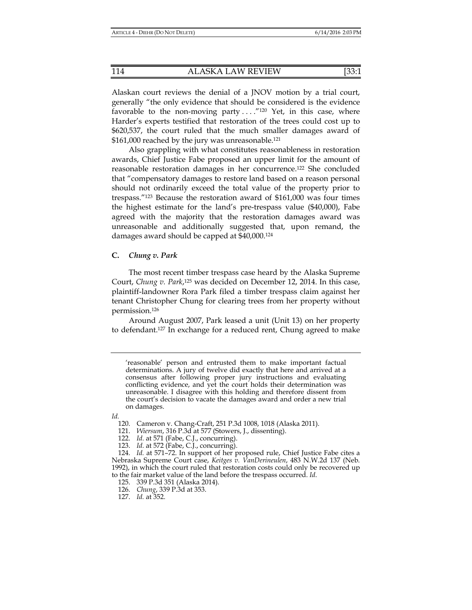Alaskan court reviews the denial of a JNOV motion by a trial court, generally "the only evidence that should be considered is the evidence favorable to the non-moving party  $\dots$ ."<sup>120</sup> Yet, in this case, where Harder's experts testified that restoration of the trees could cost up to \$620,537, the court ruled that the much smaller damages award of \$161,000 reached by the jury was unreasonable.<sup>121</sup>

Also grappling with what constitutes reasonableness in restoration awards, Chief Justice Fabe proposed an upper limit for the amount of reasonable restoration damages in her concurrence.122 She concluded that "compensatory damages to restore land based on a reason personal should not ordinarily exceed the total value of the property prior to trespass."123 Because the restoration award of \$161,000 was four times the highest estimate for the land's pre-trespass value (\$40,000), Fabe agreed with the majority that the restoration damages award was unreasonable and additionally suggested that, upon remand, the damages award should be capped at \$40,000.124

#### **C.** *Chung v. Park*

The most recent timber trespass case heard by the Alaska Supreme Court, *Chung v. Park*,<sup>125</sup> was decided on December 12, 2014. In this case, plaintiff-landowner Rora Park filed a timber trespass claim against her tenant Christopher Chung for clearing trees from her property without permission.126

Around August 2007, Park leased a unit (Unit 13) on her property to defendant.127 In exchange for a reduced rent, Chung agreed to make

*Id.*

<sup>&#</sup>x27;reasonable' person and entrusted them to make important factual determinations. A jury of twelve did exactly that here and arrived at a consensus after following proper jury instructions and evaluating conflicting evidence, and yet the court holds their determination was unreasonable. I disagree with this holding and therefore dissent from the court's decision to vacate the damages award and order a new trial on damages.

 <sup>120.</sup> Cameron v. Chang-Craft, 251 P.3d 1008, 1018 (Alaska 2011).

 <sup>121.</sup> *Wiersum*, 316 P.3d at 577 (Stowers, J., dissenting).

 <sup>122.</sup> *Id.* at 571 (Fabe, C.J., concurring).

 <sup>123.</sup> *Id.* at 572 (Fabe, C.J., concurring).

 <sup>124.</sup> *Id.* at 571–72. In support of her proposed rule, Chief Justice Fabe cites a Nebraska Supreme Court case, *Keitges v. VanDerineulen*, 483 N.W.2d 137 (Neb. 1992), in which the court ruled that restoration costs could only be recovered up to the fair market value of the land before the trespass occurred. *Id*.

 <sup>125. 339</sup> P.3d 351 (Alaska 2014).

 <sup>126.</sup> *Chung*, 339 P.3d at 353.

 <sup>127.</sup> *Id.* at 352.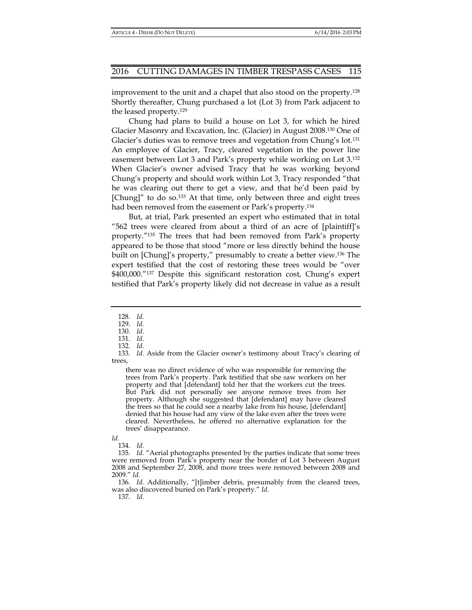improvement to the unit and a chapel that also stood on the property.128 Shortly thereafter, Chung purchased a lot (Lot 3) from Park adjacent to the leased property.129

Chung had plans to build a house on Lot 3, for which he hired Glacier Masonry and Excavation, Inc. (Glacier) in August 2008.130 One of Glacier's duties was to remove trees and vegetation from Chung's lot.<sup>131</sup> An employee of Glacier, Tracy, cleared vegetation in the power line easement between Lot 3 and Park's property while working on Lot 3.132 When Glacier's owner advised Tracy that he was working beyond Chung's property and should work within Lot 3, Tracy responded "that he was clearing out there to get a view, and that he'd been paid by [Chung]" to do so.<sup>133</sup> At that time, only between three and eight trees had been removed from the easement or Park's property.134

But, at trial, Park presented an expert who estimated that in total "562 trees were cleared from about a third of an acre of [plaintiff]'s property."135 The trees that had been removed from Park's property appeared to be those that stood "more or less directly behind the house built on [Chung]'s property," presumably to create a better view.136 The expert testified that the cost of restoring these trees would be "over \$400,000."137 Despite this significant restoration cost, Chung's expert testified that Park's property likely did not decrease in value as a result

there was no direct evidence of who was responsible for removing the trees from Park's property. Park testified that she saw workers on her property and that [defendant] told her that the workers cut the trees. But Park did not personally see anyone remove trees from her property. Although she suggested that [defendant] may have cleared the trees so that he could see a nearby lake from his house, [defendant] denied that his house had any view of the lake even after the trees were cleared. Nevertheless, he offered no alternative explanation for the trees' disappearance.

*Id.*

 136. *Id.* Additionally, "[t]imber debris, presumably from the cleared trees, was also discovered buried on Park's property." *Id.*

137. *Id.*

 <sup>128.</sup> *Id.*

 <sup>129.</sup> *Id.*

 <sup>130.</sup> *Id.*

 <sup>131.</sup> *Id.* 

 <sup>132.</sup> *Id.*

 <sup>133.</sup> *Id.* Aside from the Glacier owner's testimony about Tracy's clearing of trees,

 <sup>134.</sup> *Id.*

 <sup>135.</sup> *Id.* "Aerial photographs presented by the parties indicate that some trees were removed from Park's property near the border of Lot 3 between August 2008 and September 27, 2008, and more trees were removed between 2008 and 2009." *Id.*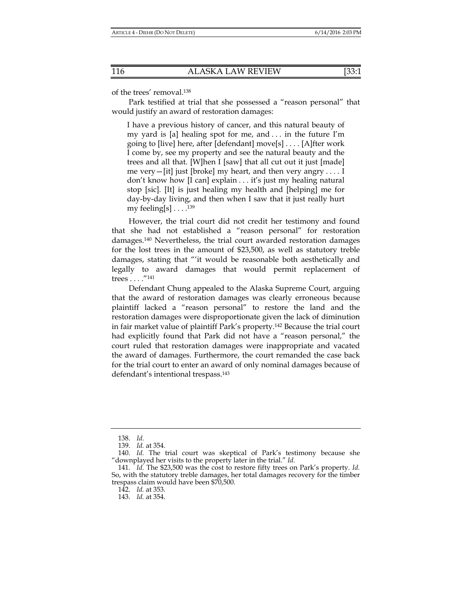of the trees' removal.138

Park testified at trial that she possessed a "reason personal" that would justify an award of restoration damages:

I have a previous history of cancer, and this natural beauty of my yard is [a] healing spot for me, and . . . in the future I'm going to [live] here, after [defendant] move[s] . . . . [A]fter work I come by, see my property and see the natural beauty and the trees and all that. [W]hen I [saw] that all cut out it just [made] me very—[it] just [broke] my heart, and then very angry  $\dots$  I don't know how [I can] explain . . . it's just my healing natural stop [sic]. [It] is just healing my health and [helping] me for day-by-day living, and then when I saw that it just really hurt my feeling[s]  $\dots$ .<sup>139</sup>

However, the trial court did not credit her testimony and found that she had not established a "reason personal" for restoration damages.140 Nevertheless, the trial court awarded restoration damages for the lost trees in the amount of \$23,500, as well as statutory treble damages, stating that "'it would be reasonable both aesthetically and legally to award damages that would permit replacement of trees . . . ."141

Defendant Chung appealed to the Alaska Supreme Court, arguing that the award of restoration damages was clearly erroneous because plaintiff lacked a "reason personal" to restore the land and the restoration damages were disproportionate given the lack of diminution in fair market value of plaintiff Park's property.142 Because the trial court had explicitly found that Park did not have a "reason personal," the court ruled that restoration damages were inappropriate and vacated the award of damages. Furthermore, the court remanded the case back for the trial court to enter an award of only nominal damages because of defendant's intentional trespass.143

 <sup>138.</sup> *Id.*

 <sup>139.</sup> *Id.* at 354.

 <sup>140.</sup> *Id.* The trial court was skeptical of Park's testimony because she "downplayed her visits to the property later in the trial." *Id.*

 <sup>141.</sup> *Id.* The \$23,500 was the cost to restore fifty trees on Park's property. *Id.*  So, with the statutory treble damages, her total damages recovery for the timber trespass claim would have been \$70,500.

 <sup>142.</sup> *Id.* at 353.

 <sup>143.</sup> *Id.* at 354.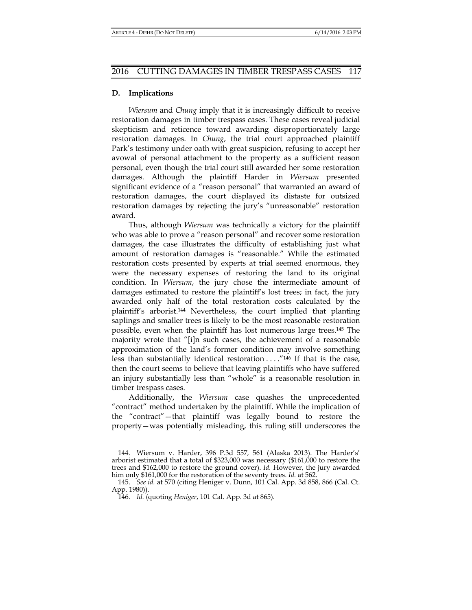## **D. Implications**

*Wiersum* and *Chung* imply that it is increasingly difficult to receive restoration damages in timber trespass cases. These cases reveal judicial skepticism and reticence toward awarding disproportionately large restoration damages. In *Chung*, the trial court approached plaintiff Park's testimony under oath with great suspicion, refusing to accept her avowal of personal attachment to the property as a sufficient reason personal, even though the trial court still awarded her some restoration damages. Although the plaintiff Harder in *Wiersum* presented significant evidence of a "reason personal" that warranted an award of restoration damages, the court displayed its distaste for outsized restoration damages by rejecting the jury's "unreasonable" restoration award.

Thus, although *Wiersum* was technically a victory for the plaintiff who was able to prove a "reason personal" and recover some restoration damages, the case illustrates the difficulty of establishing just what amount of restoration damages is "reasonable." While the estimated restoration costs presented by experts at trial seemed enormous, they were the necessary expenses of restoring the land to its original condition. In *Wiersum*, the jury chose the intermediate amount of damages estimated to restore the plaintiff's lost trees; in fact, the jury awarded only half of the total restoration costs calculated by the plaintiff's arborist.144 Nevertheless, the court implied that planting saplings and smaller trees is likely to be the most reasonable restoration possible, even when the plaintiff has lost numerous large trees.145 The majority wrote that "[i]n such cases, the achievement of a reasonable approximation of the land's former condition may involve something less than substantially identical restoration . . . ."146 If that is the case, then the court seems to believe that leaving plaintiffs who have suffered an injury substantially less than "whole" is a reasonable resolution in timber trespass cases.

Additionally, the *Wiersum* case quashes the unprecedented "contract" method undertaken by the plaintiff. While the implication of the "contract"—that plaintiff was legally bound to restore the property—was potentially misleading, this ruling still underscores the

 <sup>144.</sup> Wiersum v. Harder, 396 P.3d 557*,* 561 (Alaska 2013). The Harder's' arborist estimated that a total of \$323,000 was necessary (\$161,000 to restore the trees and \$162,000 to restore the ground cover). *Id.* However, the jury awarded him only \$161,000 for the restoration of the seventy trees. *Id.* at 562.

 <sup>145.</sup> *See id.* at 570 (citing Heniger v. Dunn, 101 Cal. App. 3d 858, 866 (Cal. Ct. App. 1980)).

 <sup>146.</sup> *Id.* (quoting *Heniger*, 101 Cal. App. 3d at 865).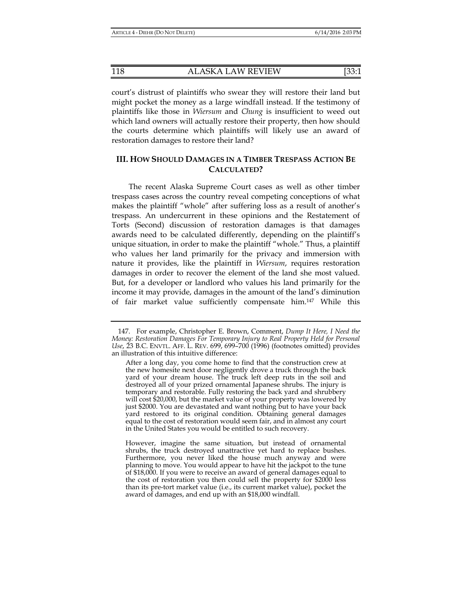118 ALASKA LAW REVIEW [33:1

court's distrust of plaintiffs who swear they will restore their land but might pocket the money as a large windfall instead. If the testimony of plaintiffs like those in *Wiersum* and *Chung* is insufficient to weed out which land owners will actually restore their property, then how should the courts determine which plaintiffs will likely use an award of restoration damages to restore their land?

## **III. HOW SHOULD DAMAGES IN A TIMBER TRESPASS ACTION BE CALCULATED?**

The recent Alaska Supreme Court cases as well as other timber trespass cases across the country reveal competing conceptions of what makes the plaintiff "whole" after suffering loss as a result of another's trespass. An undercurrent in these opinions and the Restatement of Torts (Second) discussion of restoration damages is that damages awards need to be calculated differently, depending on the plaintiff's unique situation, in order to make the plaintiff "whole." Thus, a plaintiff who values her land primarily for the privacy and immersion with nature it provides, like the plaintiff in *Wiersum*, requires restoration damages in order to recover the element of the land she most valued. But, for a developer or landlord who values his land primarily for the income it may provide, damages in the amount of the land's diminution of fair market value sufficiently compensate him.147 While this

 <sup>147.</sup> For example, Christopher E. Brown, Comment, *Dump It Here, I Need the Money: Restoration Damages For Temporary Injury to Real Property Held for Personal Use*, 23 B.C. ENVTL. AFF. L. REV. 699, 699–700 (1996) (footnotes omitted) provides an illustration of this intuitive difference:

After a long day, you come home to find that the construction crew at the new homesite next door negligently drove a truck through the back yard of your dream house. The truck left deep ruts in the soil and destroyed all of your prized ornamental Japanese shrubs. The injury is temporary and restorable. Fully restoring the back yard and shrubbery will cost \$20,000, but the market value of your property was lowered by just \$2000. You are devastated and want nothing but to have your back yard restored to its original condition. Obtaining general damages equal to the cost of restoration would seem fair, and in almost any court in the United States you would be entitled to such recovery.

However, imagine the same situation, but instead of ornamental shrubs, the truck destroyed unattractive yet hard to replace bushes. Furthermore, you never liked the house much anyway and were planning to move. You would appear to have hit the jackpot to the tune of \$18,000. If you were to receive an award of general damages equal to the cost of restoration you then could sell the property for \$2000 less than its pre-tort market value (i.e., its current market value), pocket the award of damages, and end up with an \$18,000 windfall.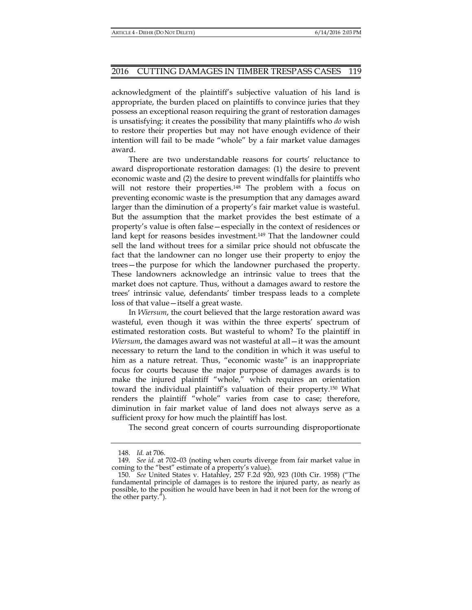acknowledgment of the plaintiff's subjective valuation of his land is appropriate, the burden placed on plaintiffs to convince juries that they possess an exceptional reason requiring the grant of restoration damages is unsatisfying: it creates the possibility that many plaintiffs who *do* wish to restore their properties but may not have enough evidence of their intention will fail to be made "whole" by a fair market value damages award.

There are two understandable reasons for courts' reluctance to award disproportionate restoration damages: (1) the desire to prevent economic waste and (2) the desire to prevent windfalls for plaintiffs who will not restore their properties.<sup>148</sup> The problem with a focus on preventing economic waste is the presumption that any damages award larger than the diminution of a property's fair market value is wasteful. But the assumption that the market provides the best estimate of a property's value is often false—especially in the context of residences or land kept for reasons besides investment.<sup>149</sup> That the landowner could sell the land without trees for a similar price should not obfuscate the fact that the landowner can no longer use their property to enjoy the trees—the purpose for which the landowner purchased the property. These landowners acknowledge an intrinsic value to trees that the market does not capture. Thus, without a damages award to restore the trees' intrinsic value, defendants' timber trespass leads to a complete loss of that value—itself a great waste.

In *Wiersum*, the court believed that the large restoration award was wasteful, even though it was within the three experts' spectrum of estimated restoration costs. But wasteful to whom? To the plaintiff in *Wiersum*, the damages award was not wasteful at all—it was the amount necessary to return the land to the condition in which it was useful to him as a nature retreat. Thus, "economic waste" is an inappropriate focus for courts because the major purpose of damages awards is to make the injured plaintiff "whole," which requires an orientation toward the individual plaintiff's valuation of their property.150 What renders the plaintiff "whole" varies from case to case; therefore, diminution in fair market value of land does not always serve as a sufficient proxy for how much the plaintiff has lost.

The second great concern of courts surrounding disproportionate

 <sup>148.</sup> *Id.* at 706.

 <sup>149.</sup> *See id.* at 702–03 (noting when courts diverge from fair market value in coming to the "best" estimate of a property's value).

 <sup>150.</sup> *See* United States v. Hatahley, 257 F.2d 920, 923 (10th Cir. 1958) ("The fundamental principle of damages is to restore the injured party, as nearly as possible, to the position he would have been in had it not been for the wrong of the other party.").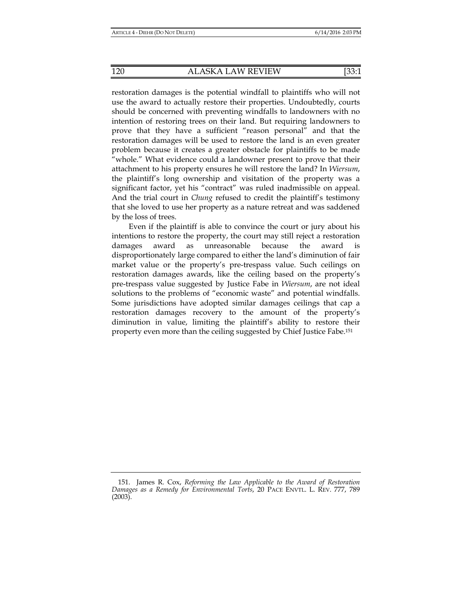restoration damages is the potential windfall to plaintiffs who will not use the award to actually restore their properties. Undoubtedly, courts should be concerned with preventing windfalls to landowners with no intention of restoring trees on their land. But requiring landowners to prove that they have a sufficient "reason personal" and that the restoration damages will be used to restore the land is an even greater problem because it creates a greater obstacle for plaintiffs to be made "whole." What evidence could a landowner present to prove that their attachment to his property ensures he will restore the land? In *Wiersum*, the plaintiff's long ownership and visitation of the property was a significant factor, yet his "contract" was ruled inadmissible on appeal. And the trial court in *Chung* refused to credit the plaintiff's testimony that she loved to use her property as a nature retreat and was saddened by the loss of trees.

Even if the plaintiff is able to convince the court or jury about his intentions to restore the property, the court may still reject a restoration damages award as unreasonable because the award is disproportionately large compared to either the land's diminution of fair market value or the property's pre-trespass value. Such ceilings on restoration damages awards, like the ceiling based on the property's pre-trespass value suggested by Justice Fabe in *Wiersum*, are not ideal solutions to the problems of "economic waste" and potential windfalls. Some jurisdictions have adopted similar damages ceilings that cap a restoration damages recovery to the amount of the property's diminution in value, limiting the plaintiff's ability to restore their property even more than the ceiling suggested by Chief Justice Fabe.151

 <sup>151.</sup> James R. Cox, *Reforming the Law Applicable to the Award of Restoration Damages as a Remedy for Environmental Torts*, 20 PACE ENVTL. L. REV. 777, 789 (2003).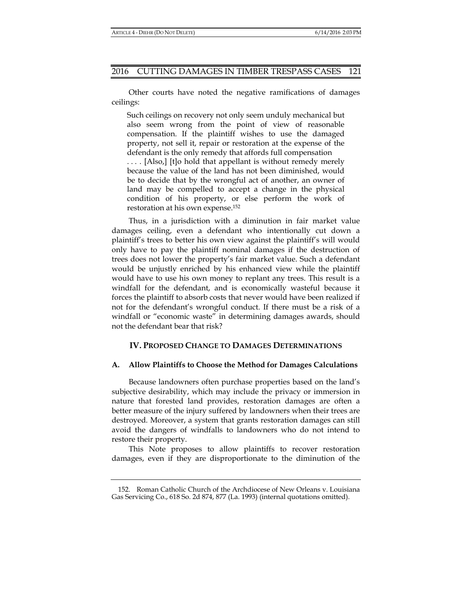Other courts have noted the negative ramifications of damages ceilings:

Such ceilings on recovery not only seem unduly mechanical but also seem wrong from the point of view of reasonable compensation. If the plaintiff wishes to use the damaged property, not sell it, repair or restoration at the expense of the defendant is the only remedy that affords full compensation

. . . . [Also,] [t]o hold that appellant is without remedy merely because the value of the land has not been diminished, would be to decide that by the wrongful act of another, an owner of land may be compelled to accept a change in the physical condition of his property, or else perform the work of restoration at his own expense.152

Thus, in a jurisdiction with a diminution in fair market value damages ceiling, even a defendant who intentionally cut down a plaintiff's trees to better his own view against the plaintiff's will would only have to pay the plaintiff nominal damages if the destruction of trees does not lower the property's fair market value. Such a defendant would be unjustly enriched by his enhanced view while the plaintiff would have to use his own money to replant any trees. This result is a windfall for the defendant, and is economically wasteful because it forces the plaintiff to absorb costs that never would have been realized if not for the defendant's wrongful conduct. If there must be a risk of a windfall or "economic waste" in determining damages awards, should not the defendant bear that risk?

## **IV. PROPOSED CHANGE TO DAMAGES DETERMINATIONS**

## **A. Allow Plaintiffs to Choose the Method for Damages Calculations**

Because landowners often purchase properties based on the land's subjective desirability, which may include the privacy or immersion in nature that forested land provides, restoration damages are often a better measure of the injury suffered by landowners when their trees are destroyed. Moreover, a system that grants restoration damages can still avoid the dangers of windfalls to landowners who do not intend to restore their property.

This Note proposes to allow plaintiffs to recover restoration damages, even if they are disproportionate to the diminution of the

 <sup>152.</sup> Roman Catholic Church of the Archdiocese of New Orleans v. Louisiana Gas Servicing Co., 618 So. 2d 874, 877 (La. 1993) (internal quotations omitted).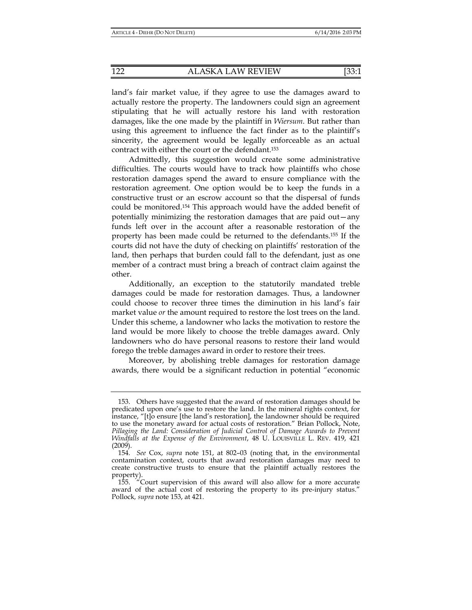land's fair market value, if they agree to use the damages award to actually restore the property. The landowners could sign an agreement stipulating that he will actually restore his land with restoration damages, like the one made by the plaintiff in *Wiersum*. But rather than using this agreement to influence the fact finder as to the plaintiff's sincerity, the agreement would be legally enforceable as an actual contract with either the court or the defendant.153

Admittedly, this suggestion would create some administrative difficulties. The courts would have to track how plaintiffs who chose restoration damages spend the award to ensure compliance with the restoration agreement. One option would be to keep the funds in a constructive trust or an escrow account so that the dispersal of funds could be monitored.154 This approach would have the added benefit of potentially minimizing the restoration damages that are paid out—any funds left over in the account after a reasonable restoration of the property has been made could be returned to the defendants.155 If the courts did not have the duty of checking on plaintiffs' restoration of the land, then perhaps that burden could fall to the defendant, just as one member of a contract must bring a breach of contract claim against the other.

Additionally, an exception to the statutorily mandated treble damages could be made for restoration damages. Thus, a landowner could choose to recover three times the diminution in his land's fair market value *or* the amount required to restore the lost trees on the land. Under this scheme, a landowner who lacks the motivation to restore the land would be more likely to choose the treble damages award. Only landowners who do have personal reasons to restore their land would forego the treble damages award in order to restore their trees.

Moreover, by abolishing treble damages for restoration damage awards, there would be a significant reduction in potential "economic

 <sup>153.</sup> Others have suggested that the award of restoration damages should be predicated upon one's use to restore the land. In the mineral rights context, for instance, "[t]o ensure [the land's restoration], the landowner should be required to use the monetary award for actual costs of restoration." Brian Pollock, Note, Pillaging the Land: Consideration of Judicial Control of Damage Awards to Prevent *Windfalls at the Expense of the Environment*, 48 U. LOUISVILLE L. REV. 419, 421 (2009).

 <sup>154.</sup> *See* Cox, *supra* note 151, at 802–03 (noting that, in the environmental contamination context, courts that award restoration damages may need to create constructive trusts to ensure that the plaintiff actually restores the property).

 <sup>155. &</sup>quot;Court supervision of this award will also allow for a more accurate award of the actual cost of restoring the property to its pre-injury status." Pollock*, supra* note 153, at 421.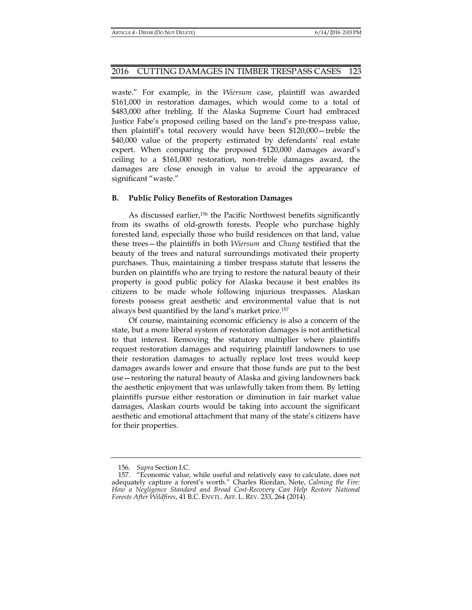waste." For example, in the *Wiersum* case, plaintiff was awarded \$161,000 in restoration damages, which would come to a total of \$483,000 after trebling. If the Alaska Supreme Court had embraced Justice Fabe's proposed ceiling based on the land's pre-trespass value, then plaintiff's total recovery would have been \$120,000—treble the \$40,000 value of the property estimated by defendants' real estate expert. When comparing the proposed \$120,000 damages award's ceiling to a \$161,000 restoration, non-treble damages award, the damages are close enough in value to avoid the appearance of significant "waste."

## **B. Public Policy Benefits of Restoration Damages**

As discussed earlier,<sup>156</sup> the Pacific Northwest benefits significantly from its swaths of old-growth forests. People who purchase highly forested land, especially those who build residences on that land, value these trees—the plaintiffs in both *Wiersum* and *Chung* testified that the beauty of the trees and natural surroundings motivated their property purchases. Thus, maintaining a timber trespass statute that lessens the burden on plaintiffs who are trying to restore the natural beauty of their property is good public policy for Alaska because it best enables its citizens to be made whole following injurious trespasses. Alaskan forests possess great aesthetic and environmental value that is not always best quantified by the land's market price.157

Of course, maintaining economic efficiency is also a concern of the state, but a more liberal system of restoration damages is not antithetical to that interest. Removing the statutory multiplier where plaintiffs request restoration damages and requiring plaintiff landowners to use their restoration damages to actually replace lost trees would keep damages awards lower and ensure that those funds are put to the best use—restoring the natural beauty of Alaska and giving landowners back the aesthetic enjoyment that was unlawfully taken from them. By letting plaintiffs pursue either restoration or diminution in fair market value damages, Alaskan courts would be taking into account the significant aesthetic and emotional attachment that many of the state's citizens have for their properties.

 <sup>156.</sup> *Supra* Section I.C.

 <sup>157. &</sup>quot;Economic value, while useful and relatively easy to calculate, does not adequately capture a forest's worth." Charles Riordan, Note, *Calming the Fire: How a Negligence Standard and Broad Cost-Recovery Can Help Restore National Forests After Wildfires*, 41 B.C. ENVTL. AFF. L. REV. 233, 264 (2014).